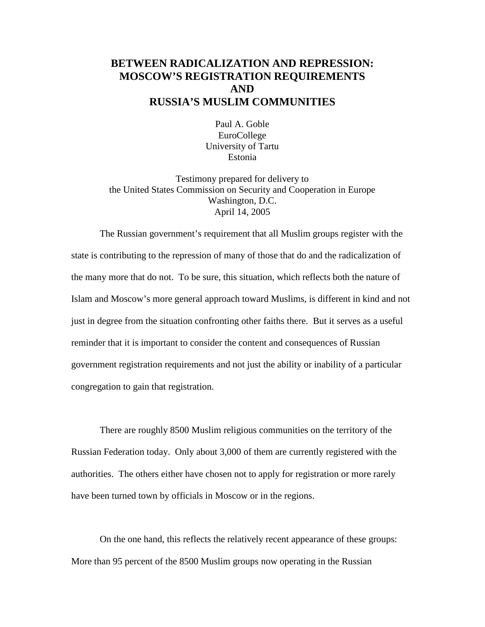## **BETWEEN RADICALIZATION AND REPRESSION: MOSCOW'S REGISTRATION REQUIREMENTS AND RUSSIA'S MUSLIM COMMUNITIES**

Paul A. Goble EuroCollege University of Tartu Estonia

Testimony prepared for delivery to the United States Commission on Security and Cooperation in Europe Washington, D.C. April 14, 2005

The Russian government's requirement that all Muslim groups register with the state is contributing to the repression of many of those that do and the radicalization of the many more that do not. To be sure, this situation, which reflects both the nature of Islam and Moscow's more general approach toward Muslims, is different in kind and not just in degree from the situation confronting other faiths there. But it serves as a useful reminder that it is important to consider the content and consequences of Russian government registration requirements and not just the ability or inability of a particular congregation to gain that registration.

There are roughly 8500 Muslim religious communities on the territory of the Russian Federation today. Only about 3,000 of them are currently registered with the authorities. The others either have chosen not to apply for registration or more rarely have been turned town by officials in Moscow or in the regions.

On the one hand, this reflects the relatively recent appearance of these groups: More than 95 percent of the 8500 Muslim groups now operating in the Russian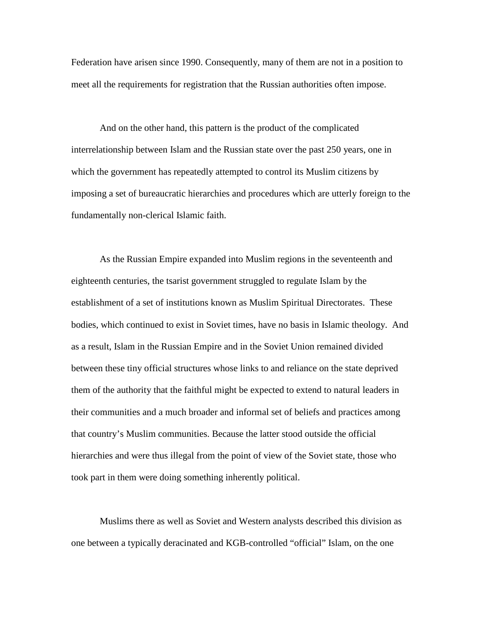Federation have arisen since 1990. Consequently, many of them are not in a position to meet all the requirements for registration that the Russian authorities often impose.

And on the other hand, this pattern is the product of the complicated interrelationship between Islam and the Russian state over the past 250 years, one in which the government has repeatedly attempted to control its Muslim citizens by imposing a set of bureaucratic hierarchies and procedures which are utterly foreign to the fundamentally non-clerical Islamic faith.

As the Russian Empire expanded into Muslim regions in the seventeenth and eighteenth centuries, the tsarist government struggled to regulate Islam by the establishment of a set of institutions known as Muslim Spiritual Directorates. These bodies, which continued to exist in Soviet times, have no basis in Islamic theology. And as a result, Islam in the Russian Empire and in the Soviet Union remained divided between these tiny official structures whose links to and reliance on the state deprived them of the authority that the faithful might be expected to extend to natural leaders in their communities and a much broader and informal set of beliefs and practices among that country's Muslim communities. Because the latter stood outside the official hierarchies and were thus illegal from the point of view of the Soviet state, those who took part in them were doing something inherently political.

Muslims there as well as Soviet and Western analysts described this division as one between a typically deracinated and KGB-controlled "official" Islam, on the one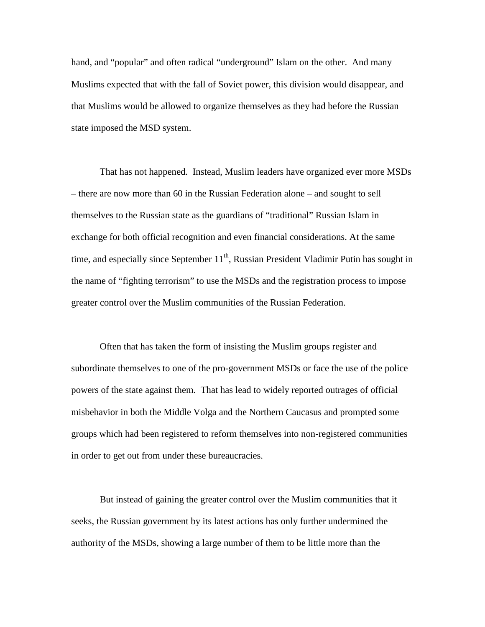hand, and "popular" and often radical "underground" Islam on the other. And many Muslims expected that with the fall of Soviet power, this division would disappear, and that Muslims would be allowed to organize themselves as they had before the Russian state imposed the MSD system.

That has not happened. Instead, Muslim leaders have organized ever more MSDs – there are now more than 60 in the Russian Federation alone – and sought to sell themselves to the Russian state as the guardians of "traditional" Russian Islam in exchange for both official recognition and even financial considerations. At the same time, and especially since September  $11<sup>th</sup>$ , Russian President Vladimir Putin has sought in the name of "fighting terrorism" to use the MSDs and the registration process to impose greater control over the Muslim communities of the Russian Federation.

Often that has taken the form of insisting the Muslim groups register and subordinate themselves to one of the pro-government MSDs or face the use of the police powers of the state against them. That has lead to widely reported outrages of official misbehavior in both the Middle Volga and the Northern Caucasus and prompted some groups which had been registered to reform themselves into non-registered communities in order to get out from under these bureaucracies.

But instead of gaining the greater control over the Muslim communities that it seeks, the Russian government by its latest actions has only further undermined the authority of the MSDs, showing a large number of them to be little more than the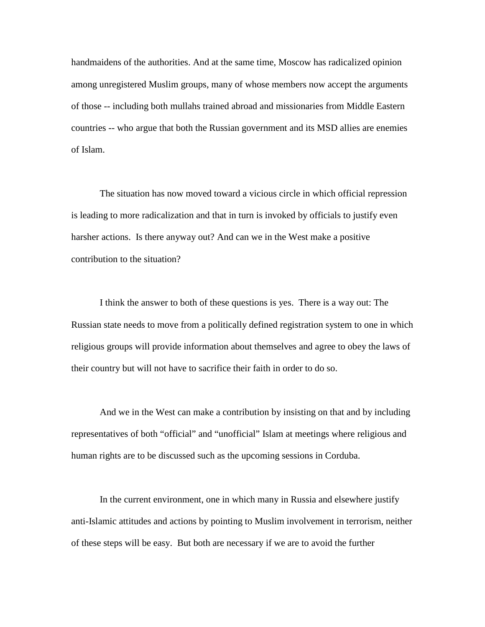handmaidens of the authorities. And at the same time, Moscow has radicalized opinion among unregistered Muslim groups, many of whose members now accept the arguments of those -- including both mullahs trained abroad and missionaries from Middle Eastern countries -- who argue that both the Russian government and its MSD allies are enemies of Islam.

The situation has now moved toward a vicious circle in which official repression is leading to more radicalization and that in turn is invoked by officials to justify even harsher actions. Is there anyway out? And can we in the West make a positive contribution to the situation?

I think the answer to both of these questions is yes. There is a way out: The Russian state needs to move from a politically defined registration system to one in which religious groups will provide information about themselves and agree to obey the laws of their country but will not have to sacrifice their faith in order to do so.

And we in the West can make a contribution by insisting on that and by including representatives of both "official" and "unofficial" Islam at meetings where religious and human rights are to be discussed such as the upcoming sessions in Corduba.

In the current environment, one in which many in Russia and elsewhere justify anti-Islamic attitudes and actions by pointing to Muslim involvement in terrorism, neither of these steps will be easy. But both are necessary if we are to avoid the further